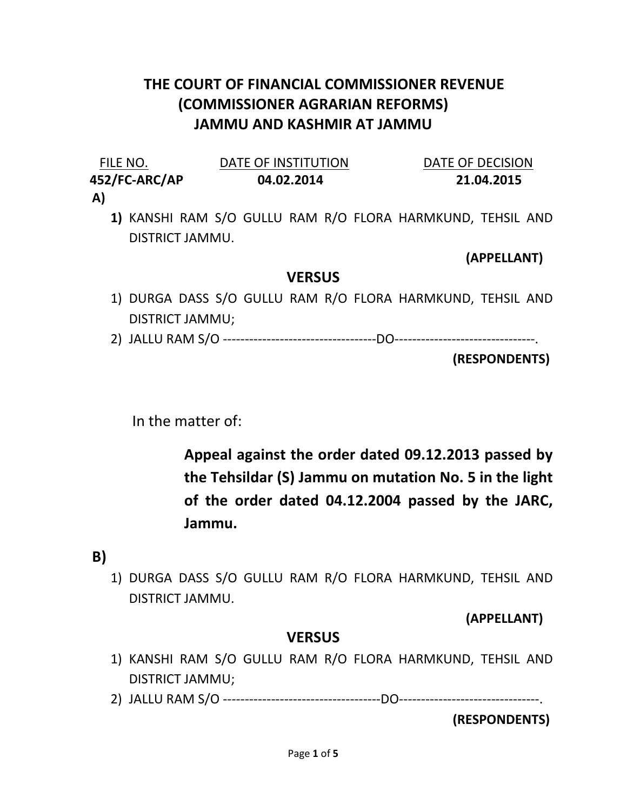## THE COURT OF FINANCIAL COMMISSIONER REVENUE (COMMISSIONER AGRARIAN REFORMS) JAMMU AND KASHMIR AT JAMMU

| FILE NO.      | DATE OF INSTITUTION | DATE OF DECISION |
|---------------|---------------------|------------------|
| 452/FC-ARC/AP | 04.02.2014          | 21.04.2015       |
| A)            |                     |                  |

1) KANSHI RAM S/O GULLU RAM R/O FLORA HARMKUND, TEHSIL AND DISTRICT JAMMU.

(APPELLANT)

## **VERSUS**

- 1) DURGA DASS S/O GULLU RAM R/O FLORA HARMKUND, TEHSIL AND DISTRICT JAMMU;
- 2) JALLU RAM S/O -----------------------------------DO--------------------------------.

(RESPONDENTS)

In the matter of:

Appeal against the order dated 09.12.2013 passed by the Tehsildar (S) Jammu on mutation No. 5 in the light of the order dated 04.12.2004 passed by the JARC, Jammu.

B)

1) DURGA DASS S/O GULLU RAM R/O FLORA HARMKUND, TEHSIL AND DISTRICT JAMMU.

(APPELLANT)

## VERSUS

- 1) KANSHI RAM S/O GULLU RAM R/O FLORA HARMKUND, TEHSIL AND DISTRICT JAMMU;
- 2) JALLU RAM S/O ------------------------------------DO--------------------------------.

(RESPONDENTS)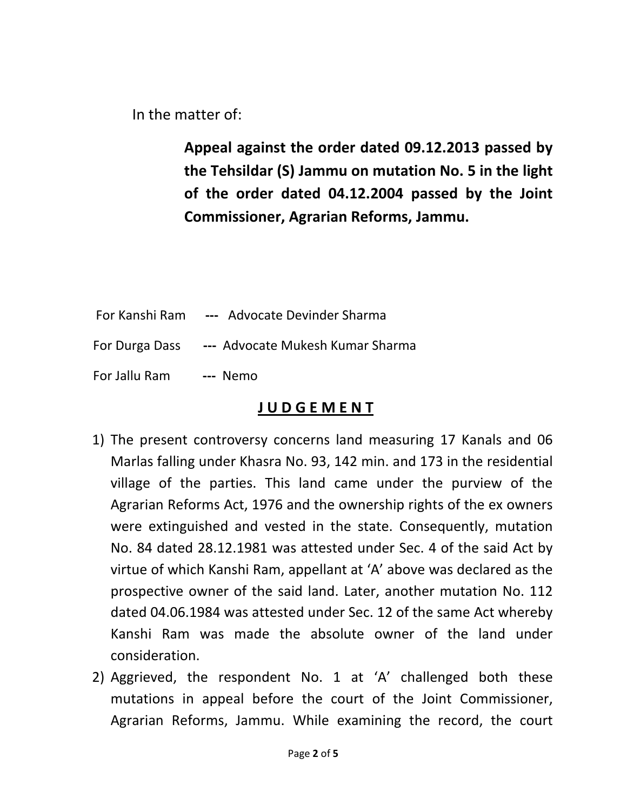In the matter of:

Appeal against the order dated 09.12.2013 passed by the Tehsildar (S) Jammu on mutation No. 5 in the light of the order dated 04.12.2004 passed by the Joint Commissioner, Agrarian Reforms, Jammu.

 For Kanshi Ram --- Advocate Devinder Sharma For Durga Dass --- Advocate Mukesh Kumar Sharma For Jallu Ram --- Nemo

## J U D G E M E N T

- 1) The present controversy concerns land measuring 17 Kanals and 06 Marlas falling under Khasra No. 93, 142 min. and 173 in the residential village of the parties. This land came under the purview of the Agrarian Reforms Act, 1976 and the ownership rights of the ex owners were extinguished and vested in the state. Consequently, mutation No. 84 dated 28.12.1981 was attested under Sec. 4 of the said Act by virtue of which Kanshi Ram, appellant at 'A' above was declared as the prospective owner of the said land. Later, another mutation No. 112 dated 04.06.1984 was attested under Sec. 12 of the same Act whereby Kanshi Ram was made the absolute owner of the land under consideration.
- 2) Aggrieved, the respondent No. 1 at 'A' challenged both these mutations in appeal before the court of the Joint Commissioner, Agrarian Reforms, Jammu. While examining the record, the court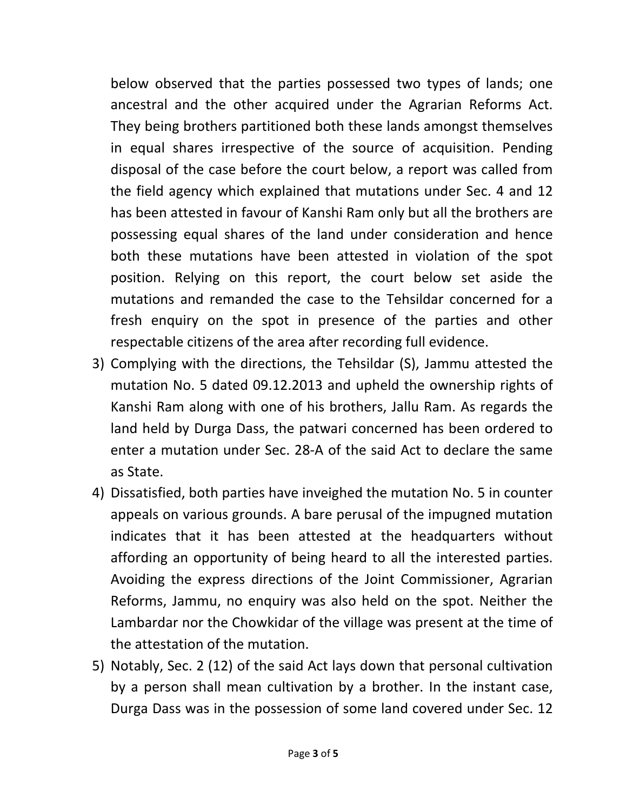below observed that the parties possessed two types of lands; one ancestral and the other acquired under the Agrarian Reforms Act. They being brothers partitioned both these lands amongst themselves in equal shares irrespective of the source of acquisition. Pending disposal of the case before the court below, a report was called from the field agency which explained that mutations under Sec. 4 and 12 has been attested in favour of Kanshi Ram only but all the brothers are possessing equal shares of the land under consideration and hence both these mutations have been attested in violation of the spot position. Relying on this report, the court below set aside the mutations and remanded the case to the Tehsildar concerned for a fresh enquiry on the spot in presence of the parties and other respectable citizens of the area after recording full evidence.

- 3) Complying with the directions, the Tehsildar (S), Jammu attested the mutation No. 5 dated 09.12.2013 and upheld the ownership rights of Kanshi Ram along with one of his brothers, Jallu Ram. As regards the land held by Durga Dass, the patwari concerned has been ordered to enter a mutation under Sec. 28-A of the said Act to declare the same as State.
- 4) Dissatisfied, both parties have inveighed the mutation No. 5 in counter appeals on various grounds. A bare perusal of the impugned mutation indicates that it has been attested at the headquarters without affording an opportunity of being heard to all the interested parties. Avoiding the express directions of the Joint Commissioner, Agrarian Reforms, Jammu, no enquiry was also held on the spot. Neither the Lambardar nor the Chowkidar of the village was present at the time of the attestation of the mutation.
- 5) Notably, Sec. 2 (12) of the said Act lays down that personal cultivation by a person shall mean cultivation by a brother. In the instant case, Durga Dass was in the possession of some land covered under Sec. 12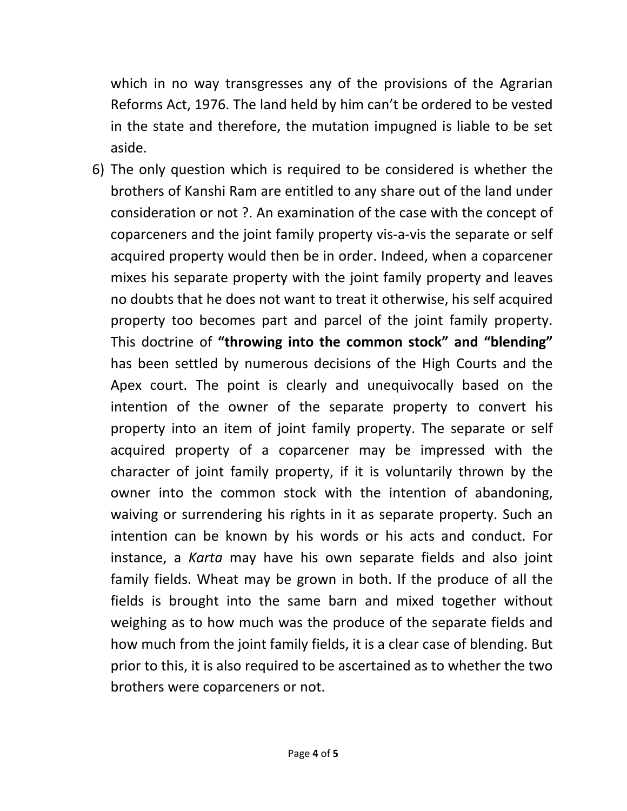which in no way transgresses any of the provisions of the Agrarian Reforms Act, 1976. The land held by him can't be ordered to be vested in the state and therefore, the mutation impugned is liable to be set aside.

6) The only question which is required to be considered is whether the brothers of Kanshi Ram are entitled to any share out of the land under consideration or not ?. An examination of the case with the concept of coparceners and the joint family property vis-a-vis the separate or self acquired property would then be in order. Indeed, when a coparcener mixes his separate property with the joint family property and leaves no doubts that he does not want to treat it otherwise, his self acquired property too becomes part and parcel of the joint family property. This doctrine of "throwing into the common stock" and "blending" has been settled by numerous decisions of the High Courts and the Apex court. The point is clearly and unequivocally based on the intention of the owner of the separate property to convert his property into an item of joint family property. The separate or self acquired property of a coparcener may be impressed with the character of joint family property, if it is voluntarily thrown by the owner into the common stock with the intention of abandoning, waiving or surrendering his rights in it as separate property. Such an intention can be known by his words or his acts and conduct. For instance, a Karta may have his own separate fields and also joint family fields. Wheat may be grown in both. If the produce of all the fields is brought into the same barn and mixed together without weighing as to how much was the produce of the separate fields and how much from the joint family fields, it is a clear case of blending. But prior to this, it is also required to be ascertained as to whether the two brothers were coparceners or not.